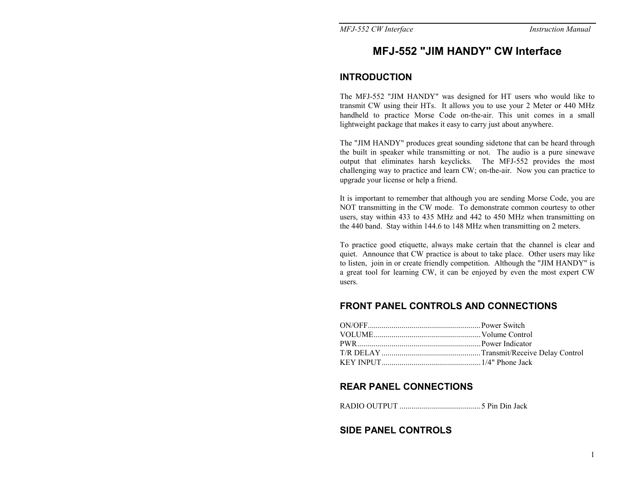# MFJ-552 "JIM HANDY" CW Interface

#### INTRODUCTION

The MFJ-552 "JIM HANDY" was designed for HT users who would like to transmit CW using their HTs. It allows you to use your 2 Meter or 440 MHz handheld to practice Morse Code on-the-air. This unit comes in a small lightweight package that makes it easy to carry just about anywhere.

The "JIM HANDY" produces great sounding sidetone that can be heard through the built in speaker while transmitting or not. The audio is a pure sinewave output that eliminates harsh keyelicks. The MFJ-552 provides the most challenging way to practice and learn CW; on-the-air. Now you can practice to upgrade your license or help a friend.

It is important to remember that although you are sending Morse Code, you are NOT transmitting in the CW mode. To demonstrate common courtesy to other users, stay within 433 to 435 MHz and 442 to 450 MHz when transmitting on the 440 band. Stay within 144.6 to 148 MHz when transmitting on 2 meters.

To practice good etiquette, always make certain that the channel is clear and quiet. Announce that CW practice is about to take place. Other users may like to listen, join in or create friendly competition. Although the "JIM HANDY" is a great tool for learning CW, it can be enjoyed by even the most expert CW users.

### FRONT PANEL CONTROLS AND CONNECTIONS

| ON/OFF CONOUSE Power Switch           |  |
|---------------------------------------|--|
|                                       |  |
|                                       |  |
|                                       |  |
| KEY INPUT $\ldots$ $1/4$ " Phone Jack |  |

#### REAR PANEL CONNECTIONS

]/1-P"P[#X[# DDDDDDDDDDDDDDDDDDDDDDDDDDDDDDDDDDDDDDDDD\*"X79"179"(4J?"

### SIDE PANEL CONTROLS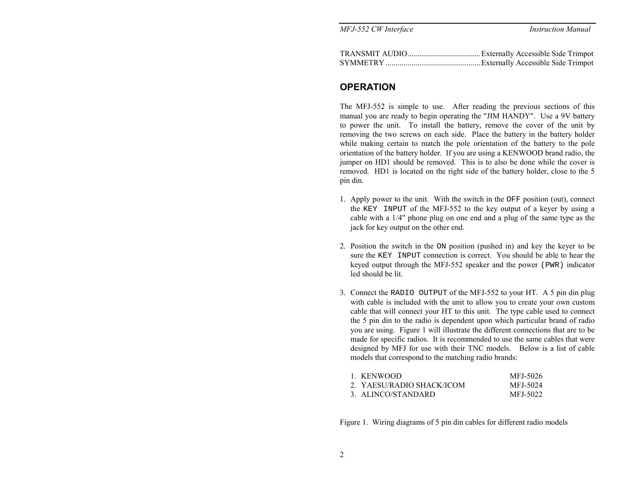| MFJ-552 CW Interface | <b>Instruction Manual</b> |
|----------------------|---------------------------|
|                      |                           |

### OPERATION

The MFJ-552 is simple to use. After reading the previous sections of this manual you are ready to begin operating the "JIM HANDY". Use a 9V battery to power the unit. To install the battery, remove the cover of the unit by removing the two screws on each side. Place the battery in the battery holder while making certain to match the pole orientation of the battery to the pole orientation of the battery holder. If you are using a KENWOOD brand radio, the jumper on HD1 should be removed. This is to also be done while the cover is removed. HD1 is located on the right side of the battery holder, close to the 5 pin din.

- 1. Apply power to the unit. With the switch in the OFF position (out), connect the KEY INPUT of the MFJ-552 to the key output of a keyer by using a cable with a  $1/4$ " phone plug on one end and a plug of the same type as the jack for key output on the other end.
- 2. Position the switch in the  $ON$  position (pushed in) and key the keyer to be sure the KEY INPUT connection is correct. You should be able to hear the keyed output through the MFJ-552 speaker and the power ( $PWR$ ) indicator led should be lit.
- 3. Connect the RADIO OUTPUT of the MFJ-552 to your HT. A 5 pin din plug with cable is included with the unit to allow you to create your own custom cable that will connect your HT to this unit. The type cable used to connect the 5 pin din to the radio is dependent upon which particular brand of radio you are using. Figure 1 will illustrate the different connections that are to be made for specific radios. It is recommended to use the same cables that were designed by MFJ for use with their TNC models. Below is a list of cable models that correspond to the matching radio brands:

| 1. KENWOOD                | MFJ-5026 |
|---------------------------|----------|
| 2. YAESU/RADIO SHACK/ICOM | MFJ-5024 |
| 3. ALINCO/STANDARD        | MFJ-5022 |

Figure 1. Wiring diagrams of 5 pin din cables for different radio models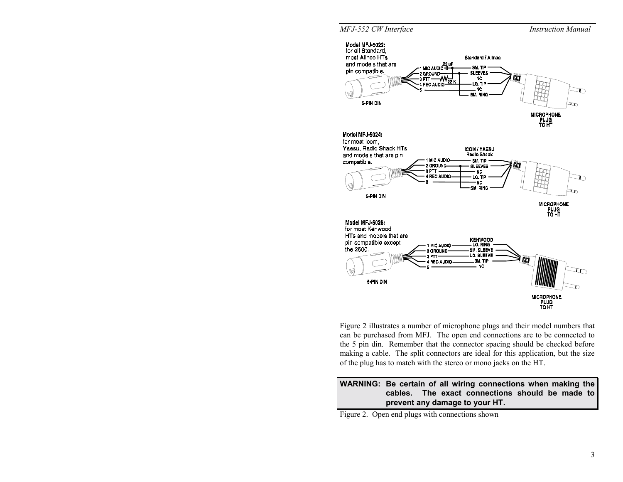

Figure 2 illustrates a number of microphone plugs and their model numbers that can be purchased from MFJ. The open end connections are to be connected to the 5 pin din. Remember that the connector spacing should be checked before making a cable. The split connectors are ideal for this application, but the size of the plug has to match with the stereo or mono jacks on the HT.

#### WARNING: Be certain of all wiring connections when making the cables. The exact connections should be made to prevent any damage to your HT.

Figure 2. Open end plugs with connections shown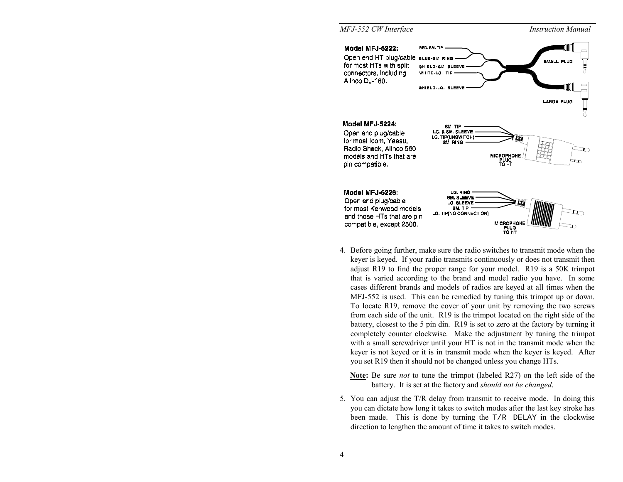#### MFJ-552 CW Interface Instruction Manual Model MFJ-5222: **BFD-RM, TR** Open end HT plug/cable BLUE-SM. RING for most HTs with split SHIELD-SM. SLEEVE connectors, including WHITE-LG. TIP Alinco DJ-160. SHIELD-LG. SLEEVE **LARGE PLUG** Model MFJ-5224: SM. TIP LG. & SM. SLEEVE Open end plug/cable **LG. TIP(UNSWITCH)** for most Icom, Yaesu, SM. RING Radio Shack, Alinco 560 MICROPHONE<br>PLUG<br>TO HT models and HTs that are pin compatible. Model MFJ-5226: LG. RING **SM. SLEEVE** Open end plug/cable LG. SLEEVE for most Kenwood models SM. TIP LG. TIP(NO CONNECTION) and those HTs that are pin MICROPHO<br>PLUG<br>TO HT compatible, except 2500.

- 4. Before going further, make sure the radio switches to transmit mode when the keyer is keyed. If your radio transmits continuously or does not transmit then adjust R19 to find the proper range for your model. R19 is a 50K trimpot that is varied according to the brand and model radio you have. In some cases different brands and models of radios are keyed at all times when the  $MFJ-552$  is used. This can be remedied by tuning this trimpot up or down. To locate R19, remove the cover of your unit by removing the two screws from each side of the unit.  $R19$  is the trimpot located on the right side of the battery, closest to the 5 pin din.  $R19$  is set to zero at the factory by turning it completely counter clockwise. Make the adjustment by tuning the trimpot with a small screwdriver until your HT is not in the transmit mode when the keyer is not keyed or it is in transmit mode when the keyer is keyed. After you set R19 then it should not be changed unless you change HTs.
	- **Note:** Be sure *not* to tune the trimpot (labeled R27) on the left side of the battery. It is set at the factory and *should not be changed*.
- 5. You can adjust the T/R delay from transmit to receive mode. In doing this you can dictate how long it takes to switch modes after the last key stroke has been made. This is done by turning the  $T/R$  DELAY in the clockwise direction to lengthen the amount of time it takes to switch modes.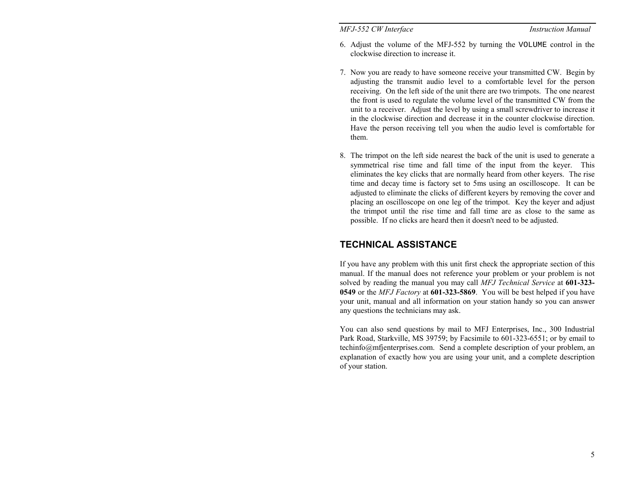#### Instruction Manual<br>Instruction Manual

- 6. Adjust the volume of the MFJ-552 by turning the VOLUME control in the clockwise direction to increase it.
- 7. Now you are ready to have someone receive your transmitted CW. Begin by adjusting the transmit audio level to a comfortable level for the person receiving. On the left side of the unit there are two trimpots. The one nearest the front is used to regulate the volume level of the transmitted CW from the unit to a receiver. Adjust the level by using a small screwdriver to increase it in the clockwise direction and decrease it in the counter clockwise direction. Have the person receiving tell you when the audio level is comfortable for them.
- 8. The trimpot on the left side nearest the back of the unit is used to generate a symmetrical rise time and fall time of the input from the keyer. This eliminates the key clicks that are normally heard from other keyers. The rise time and decay time is factory set to 5ms using an oscilloscope. It can be adjusted to eliminate the clicks of different keyers by removing the cover and placing an oscilloscope on one leg of the trimpot. Key the keyer and adjust the trimpot until the rise time and fall time are as close to the same as possible. If no clicks are heard then it doesn't need to be adjusted.

## TECHNICAL ASSISTANCE

If you have any problem with this unit first check the appropriate section of this manual. If the manual does not reference your problem or your problem is not solved by reading the manual you may call  $MFJ$  Technical Service at 601-323-0549 or the MFJ Factory at 601-323-5869. You will be best helped if you have your unit, manual and all information on your station handy so you can answer any questions the technicians may ask.

You can also send questions by mail to MFJ Enterprises, Inc., 300 Industrial Park Road, Starkville, MS 39759; by Facsimile to 601-323-6551; or by email to  $technfo@mfi$ enterprises.com. Send a complete description of your problem, an explanation of exactly how you are using your unit, and a complete description of your station.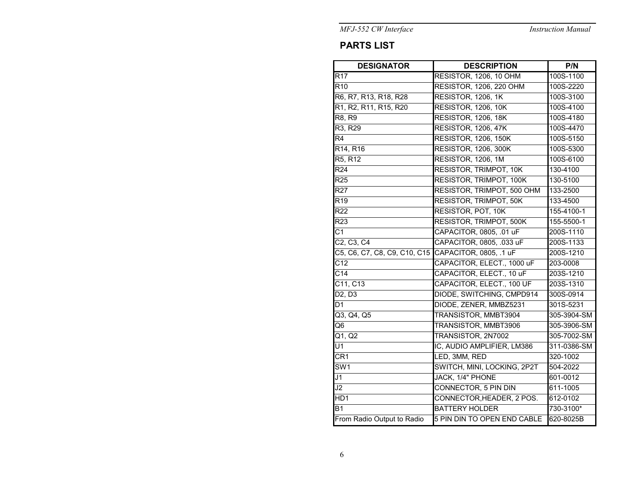**Instruction Manual** 

MFJ-552 CW Interface

# **PARTS LIST**

| <b>DESIGNATOR</b>                                 | <b>DESCRIPTION</b>             | P/N         |
|---------------------------------------------------|--------------------------------|-------------|
| R17                                               | RESISTOR, 1206, 10 OHM         | 100S-1100   |
| $\overline{R10}$                                  | <b>RESISTOR, 1206, 220 OHM</b> | 100S-2220   |
| R6, R7, R13, R18, R28                             | RESISTOR, 1206, 1K             | 100S-3100   |
| R1, R2, R11, R15, R20                             | <b>RESISTOR, 1206, 10K</b>     | 100S-4100   |
| R8, R9                                            | <b>RESISTOR, 1206, 18K</b>     | 100S-4180   |
| R <sub>3</sub> , R <sub>29</sub>                  | <b>RESISTOR, 1206, 47K</b>     | 100S-4470   |
| $\overline{R4}$                                   | <b>RESISTOR, 1206, 150K</b>    | 100S-5150   |
| R <sub>14</sub> , R <sub>16</sub>                 | <b>RESISTOR, 1206, 300K</b>    | 100S-5300   |
| R <sub>5</sub> , R <sub>12</sub>                  | RESISTOR, 1206, 1M             | 100S-6100   |
| R <sub>24</sub>                                   | <b>RESISTOR, TRIMPOT, 10K</b>  | 130-4100    |
| R <sub>25</sub>                                   | <b>RESISTOR, TRIMPOT, 100K</b> | 130-5100    |
| <b>R27</b>                                        | RESISTOR, TRIMPOT, 500 OHM     | 133-2500    |
| R <sub>19</sub>                                   | <b>RESISTOR, TRIMPOT, 50K</b>  | 133-4500    |
| R22                                               | RESISTOR, POT, 10K             | 155-4100-1  |
| R23                                               | <b>RESISTOR, TRIMPOT, 500K</b> | 155-5500-1  |
| $\overline{C1}$                                   | CAPACITOR, 0805, .01 uF        | 200S-1110   |
| $\overline{C2}$ , C <sub>3</sub> , C <sub>4</sub> | CAPACITOR, 0805, .033 uF       | 200S-1133   |
| C5, C6, C7, C8, C9, C10, C15                      | CAPACITOR, 0805, .1 uF         | 200S-1210   |
| C <sub>12</sub>                                   | CAPACITOR, ELECT., 1000 uF     | 203-0008    |
| C <sub>14</sub>                                   | CAPACITOR, ELECT., 10 uF       | 203S-1210   |
| C11, C13                                          | CAPACITOR, ELECT., 100 UF      | 203S-1310   |
| D2, D3                                            | DIODE, SWITCHING, CMPD914      | 300S-0914   |
| D <sub>1</sub>                                    | DIODE, ZENER, MMBZ5231         | 301S-5231   |
| Q3, Q4, Q5                                        | TRANSISTOR, MMBT3904           | 305-3904-SM |
| $\overline{Q6}$                                   | <b>TRANSISTOR, MMBT3906</b>    | 305-3906-SM |
| Q1, Q2                                            | TRANSISTOR, 2N7002             | 305-7002-SM |
| U1                                                | IC, AUDIO AMPLIFIER, LM386     | 311-0386-SM |
| CR <sub>1</sub>                                   | LED, 3MM, RED                  | 320-1002    |
| SW <sub>1</sub>                                   | SWITCH, MINI, LOCKING, 2P2T    | 504-2022    |
| J1                                                | JACK, 1/4" PHONE               | 601-0012    |
| J2                                                | <b>CONNECTOR, 5 PIN DIN</b>    | 611-1005    |
| HD <sub>1</sub>                                   | CONNECTOR, HEADER, 2 POS.      | 612-0102    |
| B1                                                | <b>BATTERY HOLDER</b>          | 730-3100*   |
| From Radio Output to Radio                        | 5 PIN DIN TO OPEN END CABLE    | 620-8025B   |